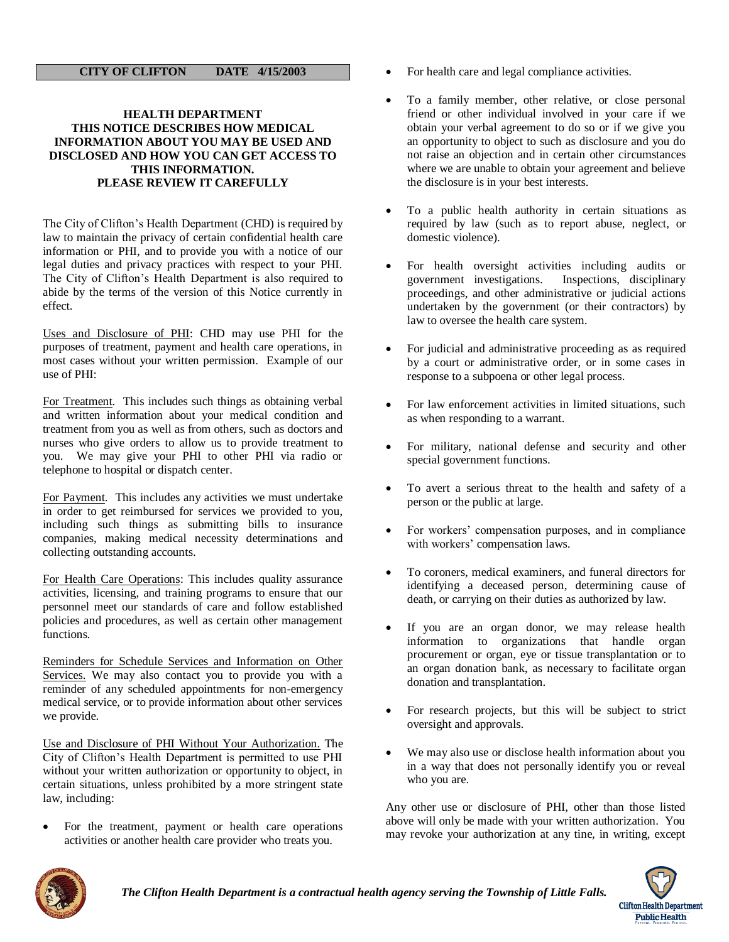## **CITY OF CLIFTON DATE 4/15/2003**

## **HEALTH DEPARTMENT THIS NOTICE DESCRIBES HOW MEDICAL INFORMATION ABOUT YOU MAY BE USED AND DISCLOSED AND HOW YOU CAN GET ACCESS TO THIS INFORMATION. PLEASE REVIEW IT CAREFULLY**

The City of Clifton's Health Department (CHD) is required by law to maintain the privacy of certain confidential health care information or PHI, and to provide you with a notice of our legal duties and privacy practices with respect to your PHI. The City of Clifton's Health Department is also required to abide by the terms of the version of this Notice currently in effect.

Uses and Disclosure of PHI: CHD may use PHI for the purposes of treatment, payment and health care operations, in most cases without your written permission. Example of our use of PHI:

For Treatment. This includes such things as obtaining verbal and written information about your medical condition and treatment from you as well as from others, such as doctors and nurses who give orders to allow us to provide treatment to you. We may give your PHI to other PHI via radio or telephone to hospital or dispatch center.

For Payment. This includes any activities we must undertake in order to get reimbursed for services we provided to you, including such things as submitting bills to insurance companies, making medical necessity determinations and collecting outstanding accounts.

For Health Care Operations: This includes quality assurance activities, licensing, and training programs to ensure that our personnel meet our standards of care and follow established policies and procedures, as well as certain other management functions.

Reminders for Schedule Services and Information on Other Services. We may also contact you to provide you with a reminder of any scheduled appointments for non-emergency medical service, or to provide information about other services we provide.

Use and Disclosure of PHI Without Your Authorization. The City of Clifton's Health Department is permitted to use PHI without your written authorization or opportunity to object, in certain situations, unless prohibited by a more stringent state law, including:

 For the treatment, payment or health care operations activities or another health care provider who treats you.

- For health care and legal compliance activities.
- To a family member, other relative, or close personal friend or other individual involved in your care if we obtain your verbal agreement to do so or if we give you an opportunity to object to such as disclosure and you do not raise an objection and in certain other circumstances where we are unable to obtain your agreement and believe the disclosure is in your best interests.
- To a public health authority in certain situations as required by law (such as to report abuse, neglect, or domestic violence).
- For health oversight activities including audits or government investigations. Inspections, disciplinary government investigations. proceedings, and other administrative or judicial actions undertaken by the government (or their contractors) by law to oversee the health care system.
- For judicial and administrative proceeding as as required by a court or administrative order, or in some cases in response to a subpoena or other legal process.
- For law enforcement activities in limited situations, such as when responding to a warrant.
- For military, national defense and security and other special government functions.
- To avert a serious threat to the health and safety of a person or the public at large.
- For workers' compensation purposes, and in compliance with workers' compensation laws.
- To coroners, medical examiners, and funeral directors for identifying a deceased person, determining cause of death, or carrying on their duties as authorized by law.
- If you are an organ donor, we may release health information to organizations that handle organ procurement or organ, eye or tissue transplantation or to an organ donation bank, as necessary to facilitate organ donation and transplantation.
- For research projects, but this will be subject to strict oversight and approvals.
- We may also use or disclose health information about you in a way that does not personally identify you or reveal who you are.

Any other use or disclosure of PHI, other than those listed above will only be made with your written authorization. You may revoke your authorization at any tine, in writing, except